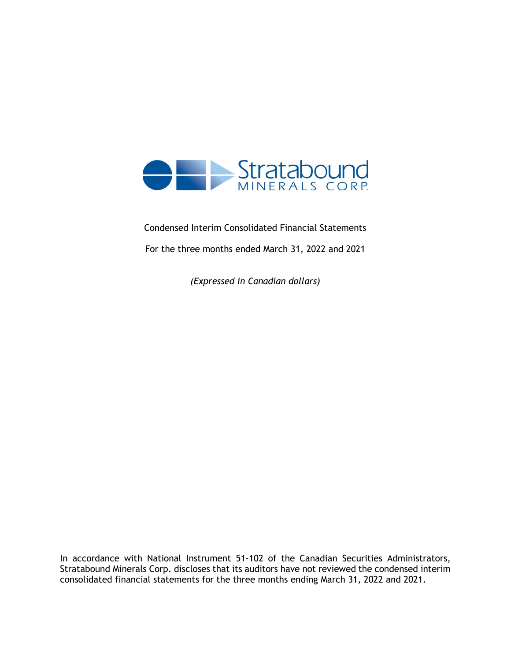

Condensed Interim Consolidated Financial Statements For the three months ended March 31, 2022 and 2021

*(Expressed in Canadian dollars)*

In accordance with National Instrument 51-102 of the Canadian Securities Administrators, Stratabound Minerals Corp. discloses that its auditors have not reviewed the condensed interim consolidated financial statements for the three months ending March 31, 2022 and 2021.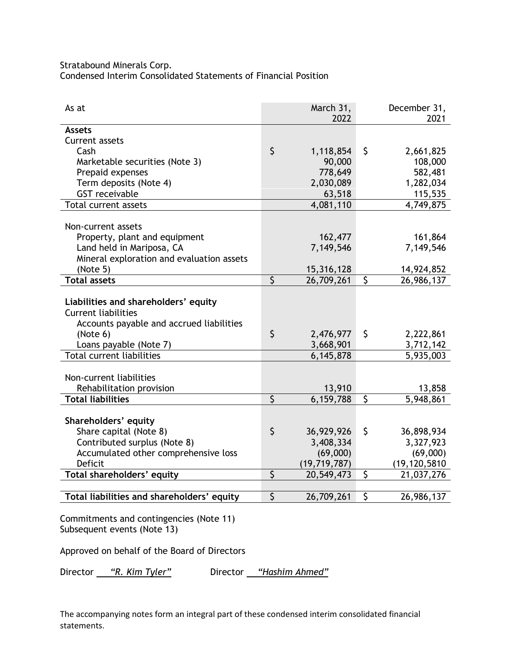Stratabound Minerals Corp.

Condensed Interim Consolidated Statements of Financial Position

| As at                                                                                                          |                         | March 31,<br>2022 |                         | December 31,<br>2021 |
|----------------------------------------------------------------------------------------------------------------|-------------------------|-------------------|-------------------------|----------------------|
| <b>Assets</b>                                                                                                  |                         |                   |                         |                      |
| Current assets                                                                                                 |                         |                   |                         |                      |
| Cash                                                                                                           | \$                      | 1,118,854         | \$                      | 2,661,825            |
| Marketable securities (Note 3)                                                                                 |                         | 90,000            |                         | 108,000              |
| Prepaid expenses                                                                                               |                         | 778,649           |                         | 582,481              |
| Term deposits (Note 4)                                                                                         |                         | 2,030,089         |                         | 1,282,034            |
| <b>GST</b> receivable                                                                                          |                         | 63,518            |                         | 115,535              |
| <b>Total current assets</b>                                                                                    |                         | 4,081,110         |                         | 4,749,875            |
|                                                                                                                |                         |                   |                         |                      |
| Non-current assets                                                                                             |                         |                   |                         |                      |
| Property, plant and equipment                                                                                  |                         | 162,477           |                         | 161,864              |
| Land held in Mariposa, CA                                                                                      |                         | 7,149,546         |                         | 7,149,546            |
| Mineral exploration and evaluation assets                                                                      |                         |                   |                         |                      |
| (Note 5)                                                                                                       |                         | 15,316,128        |                         | 14,924,852           |
| <b>Total assets</b>                                                                                            | $\overline{\varsigma}$  | 26,709,261        | $\overline{\mathsf{S}}$ | 26,986,137           |
| Liabilities and shareholders' equity<br><b>Current liabilities</b><br>Accounts payable and accrued liabilities |                         |                   |                         |                      |
| (Note 6)                                                                                                       | $\zeta$                 | 2,476,977         | \$                      | 2,222,861            |
| Loans payable (Note 7)                                                                                         |                         | 3,668,901         |                         | 3,712,142            |
| <b>Total current liabilities</b>                                                                               |                         | 6,145,878         |                         | 5,935,003            |
|                                                                                                                |                         |                   |                         |                      |
| Non-current liabilities                                                                                        |                         |                   |                         |                      |
| Rehabilitation provision                                                                                       |                         | 13,910            |                         | 13,858               |
| <b>Total liabilities</b>                                                                                       | \$                      | 6,159,788         | \$                      | 5,948,861            |
|                                                                                                                |                         |                   |                         |                      |
| Shareholders' equity                                                                                           |                         |                   |                         |                      |
| Share capital (Note 8)                                                                                         | \$                      | 36,929,926        | \$                      | 36,898,934           |
| Contributed surplus (Note 8)                                                                                   |                         | 3,408,334         |                         | 3,327,923            |
| Accumulated other comprehensive loss                                                                           |                         | (69,000)          |                         | (69,000)             |
| <b>Deficit</b>                                                                                                 |                         | (19, 719, 787)    |                         | (19, 120, 5810)      |
| Total shareholders' equity                                                                                     | $\overline{\mathsf{S}}$ | 20,549,473        | $\mathsf{\hat{S}}$      | 21,037,276           |
|                                                                                                                |                         |                   |                         |                      |
| Total liabilities and shareholders' equity                                                                     | \$                      | 26,709,261        | \$                      | 26,986,137           |

Commitments and contingencies (Note 11) Subsequent events (Note 13)

Approved on behalf of the Board of Directors

Director *"R. Kim Tyler"* Director *"Hashim Ahmed"*

The accompanying notes form an integral part of these condensed interim consolidated financial statements.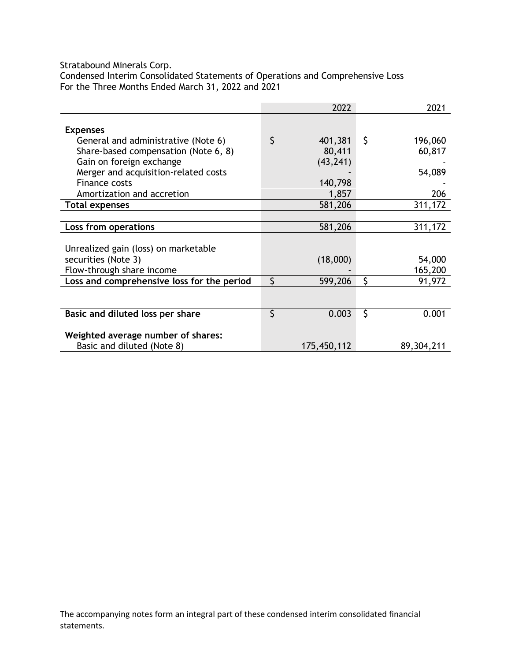Stratabound Minerals Corp.

Condensed Interim Consolidated Statements of Operations and Comprehensive Loss For the Three Months Ended March 31, 2022 and 2021

|                                            | 2022          | 2021          |
|--------------------------------------------|---------------|---------------|
| <b>Expenses</b>                            |               |               |
| General and administrative (Note 6)        | \$<br>401,381 | \$<br>196,060 |
| Share-based compensation (Note 6, 8)       | 80,411        |               |
|                                            |               | 60,817        |
| Gain on foreign exchange                   | (43, 241)     |               |
| Merger and acquisition-related costs       |               | 54,089        |
| Finance costs                              | 140,798       |               |
| Amortization and accretion                 | 1,857         | 206           |
| <b>Total expenses</b>                      | 581,206       | 311,172       |
|                                            |               |               |
| Loss from operations                       | 581,206       | 311,172       |
|                                            |               |               |
| Unrealized gain (loss) on marketable       |               |               |
| securities (Note 3)                        | (18,000)      | 54,000        |
| Flow-through share income                  |               | 165,200       |
| Loss and comprehensive loss for the period | \$<br>599,206 | \$<br>91,972  |
|                                            |               |               |
|                                            |               |               |
| Basic and diluted loss per share           | \$<br>0.003   | \$<br>0.001   |
|                                            |               |               |
| Weighted average number of shares:         |               |               |
| Basic and diluted (Note 8)                 | 175,450,112   | 89,304,211    |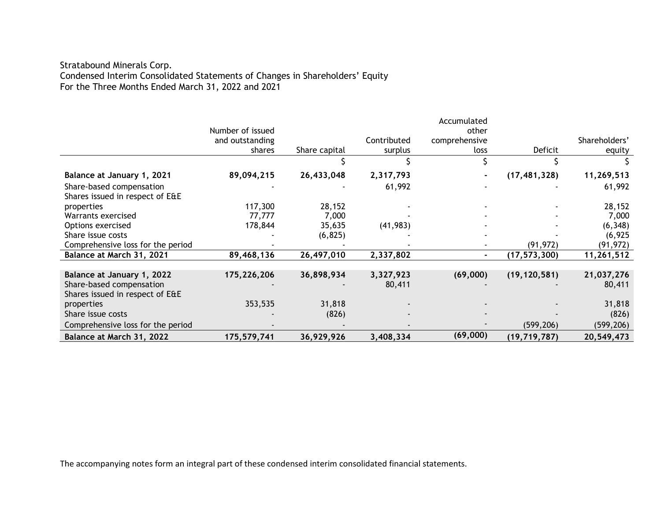# Stratabound Minerals Corp. Condensed Interim Consolidated Statements of Changes in Shareholders' Equity For the Three Months Ended March 31, 2022 and 2021

|                                   |                  |               |             | Accumulated    |                |               |
|-----------------------------------|------------------|---------------|-------------|----------------|----------------|---------------|
|                                   | Number of issued |               |             | other          |                |               |
|                                   | and outstanding  |               | Contributed | comprehensive  |                | Shareholders' |
|                                   | shares           | Share capital | surplus     | loss           | Deficit        | equity        |
|                                   |                  |               |             |                |                |               |
| Balance at January 1, 2021        | 89,094,215       | 26,433,048    | 2,317,793   |                | (17, 481, 328) | 11,269,513    |
| Share-based compensation          |                  |               | 61,992      |                |                | 61,992        |
| Shares issued in respect of E&E   |                  |               |             |                |                |               |
| properties                        | 117,300          | 28,152        |             |                |                | 28,152        |
| Warrants exercised                | 77,777           | 7,000         |             |                |                | 7,000         |
| Options exercised                 | 178,844          | 35,635        | (41, 983)   |                |                | (6, 348)      |
| Share issue costs                 |                  | (6, 825)      |             |                |                | (6, 925)      |
| Comprehensive loss for the period |                  |               |             |                | (91, 972)      | (91, 972)     |
| Balance at March 31, 2021         | 89,468,136       | 26,497,010    | 2,337,802   | $\blacksquare$ | (17, 573, 300) | 11,261,512    |
|                                   |                  |               |             |                |                |               |
| Balance at January 1, 2022        | 175,226,206      | 36,898,934    | 3,327,923   | (69,000)       | (19, 120, 581) | 21,037,276    |
| Share-based compensation          |                  |               | 80,411      |                |                | 80,411        |
| Shares issued in respect of E&E   |                  |               |             |                |                |               |
| properties                        | 353,535          | 31,818        |             |                |                | 31,818        |
| Share issue costs                 |                  | (826)         |             |                |                | (826)         |
| Comprehensive loss for the period |                  |               |             |                | (599, 206)     | (599, 206)    |
| Balance at March 31, 2022         | 175,579,741      | 36,929,926    | 3,408,334   | (69,000)       | (19, 719, 787) | 20,549,473    |

The accompanying notes form an integral part of these condensed interim consolidated financial statements.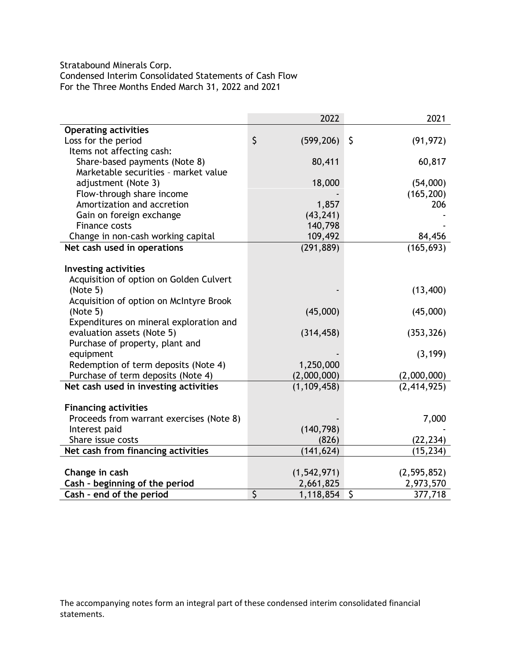Stratabound Minerals Corp. Condensed Interim Consolidated Statements of Cash Flow For the Three Months Ended March 31, 2022 and 2021

|                                          | 2022             | 2021                               |
|------------------------------------------|------------------|------------------------------------|
| <b>Operating activities</b>              |                  |                                    |
| Loss for the period                      | \$<br>(599, 206) | $\zeta$<br>(91, 972)               |
| Items not affecting cash:                |                  |                                    |
| Share-based payments (Note 8)            | 80,411           | 60,817                             |
| Marketable securities - market value     |                  |                                    |
| adjustment (Note 3)                      | 18,000           | (54,000)                           |
| Flow-through share income                |                  | (165, 200)                         |
| Amortization and accretion               | 1,857            | 206                                |
| Gain on foreign exchange                 | (43, 241)        |                                    |
| Finance costs                            | 140,798          |                                    |
| Change in non-cash working capital       | 109,492          | 84,456                             |
| Net cash used in operations              | (291, 889)       | (165, 693)                         |
|                                          |                  |                                    |
| <b>Investing activities</b>              |                  |                                    |
| Acquisition of option on Golden Culvert  |                  |                                    |
| (Note 5)                                 |                  | (13,400)                           |
| Acquisition of option on McIntyre Brook  |                  |                                    |
| (Note 5)                                 | (45,000)         | (45,000)                           |
| Expenditures on mineral exploration and  |                  |                                    |
| evaluation assets (Note 5)               | (314, 458)       | (353, 326)                         |
| Purchase of property, plant and          |                  |                                    |
| equipment                                |                  | (3, 199)                           |
| Redemption of term deposits (Note 4)     | 1,250,000        |                                    |
| Purchase of term deposits (Note 4)       | (2,000,000)      | (2,000,000)                        |
| Net cash used in investing activities    | (1, 109, 458)    | (2,414,925)                        |
|                                          |                  |                                    |
| <b>Financing activities</b>              |                  |                                    |
| Proceeds from warrant exercises (Note 8) |                  | 7,000                              |
| Interest paid                            | (140, 798)       |                                    |
| Share issue costs                        | (826)            | (22, 234)                          |
| Net cash from financing activities       | (141, 624)       | (15, 234)                          |
|                                          |                  |                                    |
| Change in cash                           | (1, 542, 971)    | (2, 595, 852)                      |
| Cash - beginning of the period           | 2,661,825        | 2,973,570                          |
| Cash - end of the period                 | \$<br>1,118,854  | $\overline{\mathsf{S}}$<br>377,718 |

The accompanying notes form an integral part of these condensed interim consolidated financial statements.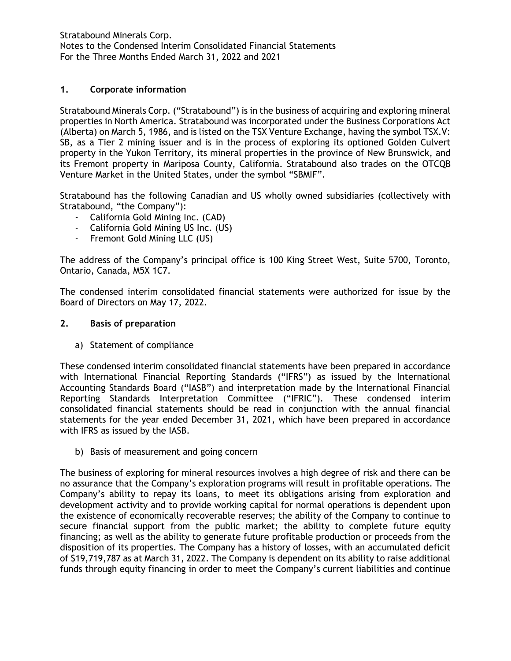# **1. Corporate information**

Stratabound Minerals Corp. ("Stratabound") is in the business of acquiring and exploring mineral properties in North America. Stratabound was incorporated under the Business Corporations Act (Alberta) on March 5, 1986, and is listed on the TSX Venture Exchange, having the symbol TSX.V: SB, as a Tier 2 mining issuer and is in the process of exploring its optioned Golden Culvert property in the Yukon Territory, its mineral properties in the province of New Brunswick, and its Fremont property in Mariposa County, California. Stratabound also trades on the OTCQB Venture Market in the United States, under the symbol "SBMIF".

Stratabound has the following Canadian and US wholly owned subsidiaries (collectively with Stratabound, "the Company"):

- California Gold Mining Inc. (CAD)
- California Gold Mining US Inc. (US)
- Fremont Gold Mining LLC (US)

The address of the Company's principal office is 100 King Street West, Suite 5700, Toronto, Ontario, Canada, M5X 1C7.

The condensed interim consolidated financial statements were authorized for issue by the Board of Directors on May 17, 2022.

# **2. Basis of preparation**

a) Statement of compliance

These condensed interim consolidated financial statements have been prepared in accordance with International Financial Reporting Standards ("IFRS") as issued by the International Accounting Standards Board ("IASB") and interpretation made by the International Financial Reporting Standards Interpretation Committee ("IFRIC"). These condensed interim consolidated financial statements should be read in conjunction with the annual financial statements for the year ended December 31, 2021, which have been prepared in accordance with IFRS as issued by the IASB.

b) Basis of measurement and going concern

The business of exploring for mineral resources involves a high degree of risk and there can be no assurance that the Company's exploration programs will result in profitable operations. The Company's ability to repay its loans, to meet its obligations arising from exploration and development activity and to provide working capital for normal operations is dependent upon the existence of economically recoverable reserves; the ability of the Company to continue to secure financial support from the public market; the ability to complete future equity financing; as well as the ability to generate future profitable production or proceeds from the disposition of its properties. The Company has a history of losses, with an accumulated deficit of \$19,719,787 as at March 31, 2022. The Company is dependent on its ability to raise additional funds through equity financing in order to meet the Company's current liabilities and continue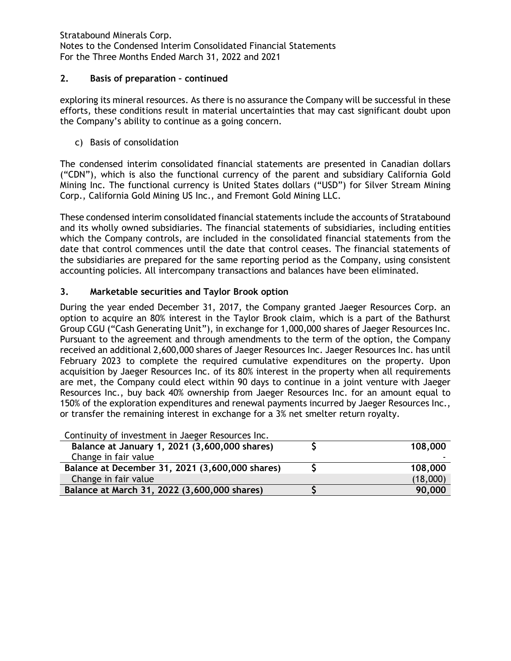## **2. Basis of preparation – continued**

exploring its mineral resources. As there is no assurance the Company will be successful in these efforts, these conditions result in material uncertainties that may cast significant doubt upon the Company's ability to continue as a going concern.

c) Basis of consolidation

The condensed interim consolidated financial statements are presented in Canadian dollars ("CDN"), which is also the functional currency of the parent and subsidiary California Gold Mining Inc. The functional currency is United States dollars ("USD") for Silver Stream Mining Corp., California Gold Mining US Inc., and Fremont Gold Mining LLC.

These condensed interim consolidated financial statements include the accounts of Stratabound and its wholly owned subsidiaries. The financial statements of subsidiaries, including entities which the Company controls, are included in the consolidated financial statements from the date that control commences until the date that control ceases. The financial statements of the subsidiaries are prepared for the same reporting period as the Company, using consistent accounting policies. All intercompany transactions and balances have been eliminated.

# **3. Marketable securities and Taylor Brook option**

During the year ended December 31, 2017, the Company granted Jaeger Resources Corp. an option to acquire an 80% interest in the Taylor Brook claim, which is a part of the Bathurst Group CGU ("Cash Generating Unit"), in exchange for 1,000,000 shares of Jaeger Resources Inc. Pursuant to the agreement and through amendments to the term of the option, the Company received an additional 2,600,000 shares of Jaeger Resources Inc. Jaeger Resources Inc. has until February 2023 to complete the required cumulative expenditures on the property. Upon acquisition by Jaeger Resources Inc. of its 80% interest in the property when all requirements are met, the Company could elect within 90 days to continue in a joint venture with Jaeger Resources Inc., buy back 40% ownership from Jaeger Resources Inc. for an amount equal to 150% of the exploration expenditures and renewal payments incurred by Jaeger Resources Inc., or transfer the remaining interest in exchange for a 3% net smelter return royalty.

| Continuity of investment in Jaeger Resources Inc. |          |
|---------------------------------------------------|----------|
| Balance at January 1, 2021 (3,600,000 shares)     | 108,000  |
| Change in fair value                              |          |
| Balance at December 31, 2021 (3,600,000 shares)   | 108,000  |
| Change in fair value                              | (18,000) |
| Balance at March 31, 2022 (3,600,000 shares)      | 90,000   |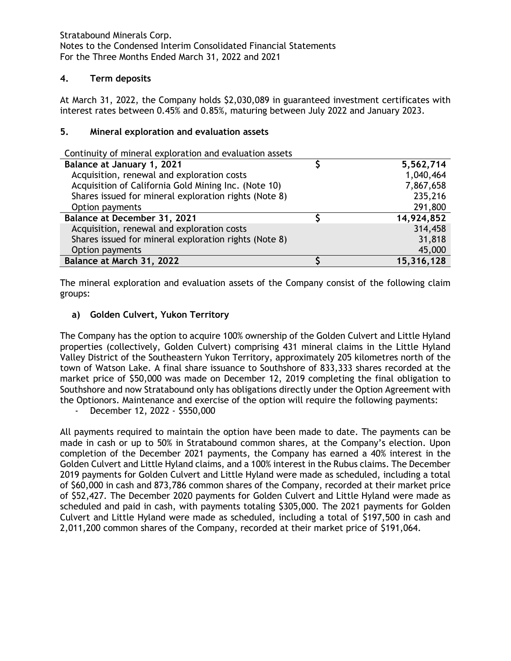# **4. Term deposits**

At March 31, 2022, the Company holds \$2,030,089 in guaranteed investment certificates with interest rates between 0.45% and 0.85%, maturing between July 2022 and January 2023.

### **5. Mineral exploration and evaluation assets**

Continuity of mineral exploration and evaluation assets

| Balance at January 1, 2021                            | 5,562,714  |
|-------------------------------------------------------|------------|
| Acquisition, renewal and exploration costs            | 1,040,464  |
| Acquisition of California Gold Mining Inc. (Note 10)  | 7,867,658  |
| Shares issued for mineral exploration rights (Note 8) | 235,216    |
| Option payments                                       | 291,800    |
| Balance at December 31, 2021                          | 14,924,852 |
| Acquisition, renewal and exploration costs            | 314,458    |
| Shares issued for mineral exploration rights (Note 8) | 31,818     |
| Option payments                                       | 45,000     |
| Balance at March 31, 2022                             | 15,316,128 |

The mineral exploration and evaluation assets of the Company consist of the following claim groups:

# **a) Golden Culvert, Yukon Territory**

The Company has the option to acquire 100% ownership of the Golden Culvert and Little Hyland properties (collectively, Golden Culvert) comprising 431 mineral claims in the Little Hyland Valley District of the Southeastern Yukon Territory, approximately 205 kilometres north of the town of Watson Lake. A final share issuance to Southshore of 833,333 shares recorded at the market price of \$50,000 was made on December 12, 2019 completing the final obligation to Southshore and now Stratabound only has obligations directly under the Option Agreement with the Optionors. Maintenance and exercise of the option will require the following payments:

- December 12, 2022 - \$550,000

All payments required to maintain the option have been made to date. The payments can be made in cash or up to 50% in Stratabound common shares, at the Company's election. Upon completion of the December 2021 payments, the Company has earned a 40% interest in the Golden Culvert and Little Hyland claims, and a 100% interest in the Rubus claims. The December 2019 payments for Golden Culvert and Little Hyland were made as scheduled, including a total of \$60,000 in cash and 873,786 common shares of the Company, recorded at their market price of \$52,427. The December 2020 payments for Golden Culvert and Little Hyland were made as scheduled and paid in cash, with payments totaling \$305,000. The 2021 payments for Golden Culvert and Little Hyland were made as scheduled, including a total of \$197,500 in cash and 2,011,200 common shares of the Company, recorded at their market price of \$191,064.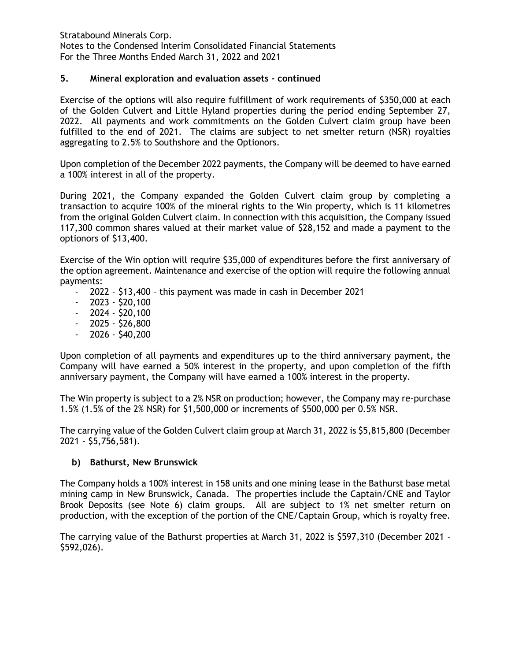## **5. Mineral exploration and evaluation assets - continued**

Exercise of the options will also require fulfillment of work requirements of \$350,000 at each of the Golden Culvert and Little Hyland properties during the period ending September 27, 2022. All payments and work commitments on the Golden Culvert claim group have been fulfilled to the end of 2021. The claims are subject to net smelter return (NSR) royalties aggregating to 2.5% to Southshore and the Optionors.

Upon completion of the December 2022 payments, the Company will be deemed to have earned a 100% interest in all of the property.

During 2021, the Company expanded the Golden Culvert claim group by completing a transaction to acquire 100% of the mineral rights to the Win property, which is 11 kilometres from the original Golden Culvert claim. In connection with this acquisition, the Company issued 117,300 common shares valued at their market value of \$28,152 and made a payment to the optionors of \$13,400.

Exercise of the Win option will require \$35,000 of expenditures before the first anniversary of the option agreement. Maintenance and exercise of the option will require the following annual payments:

- 2022 \$13,400 this payment was made in cash in December 2021
- $2023 520,100$
- $-2024 520,100$
- $-2025 $26,800$
- $2026 540,200$

Upon completion of all payments and expenditures up to the third anniversary payment, the Company will have earned a 50% interest in the property, and upon completion of the fifth anniversary payment, the Company will have earned a 100% interest in the property.

The Win property is subject to a 2% NSR on production; however, the Company may re-purchase 1.5% (1.5% of the 2% NSR) for \$1,500,000 or increments of \$500,000 per 0.5% NSR.

The carrying value of the Golden Culvert claim group at March 31, 2022 is \$5,815,800 (December 2021 - \$5,756,581).

# **b) Bathurst, New Brunswick**

The Company holds a 100% interest in 158 units and one mining lease in the Bathurst base metal mining camp in New Brunswick, Canada. The properties include the Captain/CNE and Taylor Brook Deposits (see Note 6) claim groups. All are subject to 1% net smelter return on production, with the exception of the portion of the CNE/Captain Group, which is royalty free.

The carrying value of the Bathurst properties at March 31, 2022 is \$597,310 (December 2021 - \$592,026).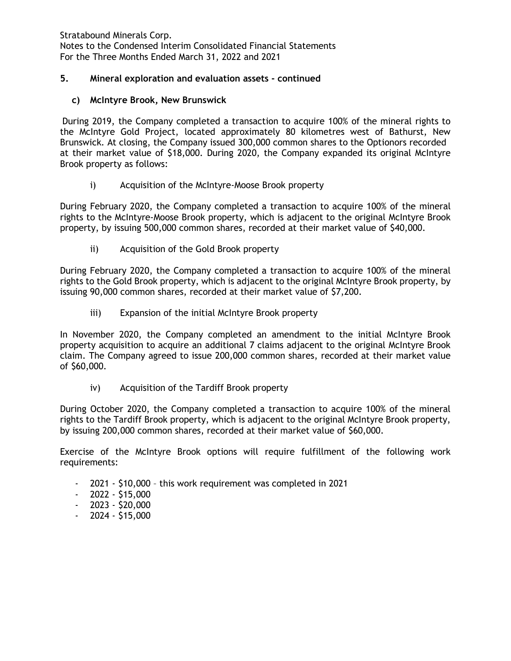# **5. Mineral exploration and evaluation assets - continued**

# **c) McIntyre Brook, New Brunswick**

During 2019, the Company completed a transaction to acquire 100% of the mineral rights to the McIntyre Gold Project, located approximately 80 kilometres west of Bathurst, New Brunswick. At closing, the Company issued 300,000 common shares to the Optionors recorded at their market value of \$18,000. During 2020, the Company expanded its original McIntyre Brook property as follows:

# i) Acquisition of the McIntyre-Moose Brook property

During February 2020, the Company completed a transaction to acquire 100% of the mineral rights to the McIntyre-Moose Brook property, which is adjacent to the original McIntyre Brook property, by issuing 500,000 common shares, recorded at their market value of \$40,000.

ii) Acquisition of the Gold Brook property

During February 2020, the Company completed a transaction to acquire 100% of the mineral rights to the Gold Brook property, which is adjacent to the original McIntyre Brook property, by issuing 90,000 common shares, recorded at their market value of \$7,200.

iii) Expansion of the initial McIntyre Brook property

In November 2020, the Company completed an amendment to the initial McIntyre Brook property acquisition to acquire an additional 7 claims adjacent to the original McIntyre Brook claim. The Company agreed to issue 200,000 common shares, recorded at their market value of \$60,000.

iv) Acquisition of the Tardiff Brook property

During October 2020, the Company completed a transaction to acquire 100% of the mineral rights to the Tardiff Brook property, which is adjacent to the original McIntyre Brook property, by issuing 200,000 common shares, recorded at their market value of \$60,000.

Exercise of the McIntyre Brook options will require fulfillment of the following work requirements:

- 2021 \$10,000 this work requirement was completed in 2021
- 2022 \$15,000
- $-2023 520,000$
- $-2024 $15,000$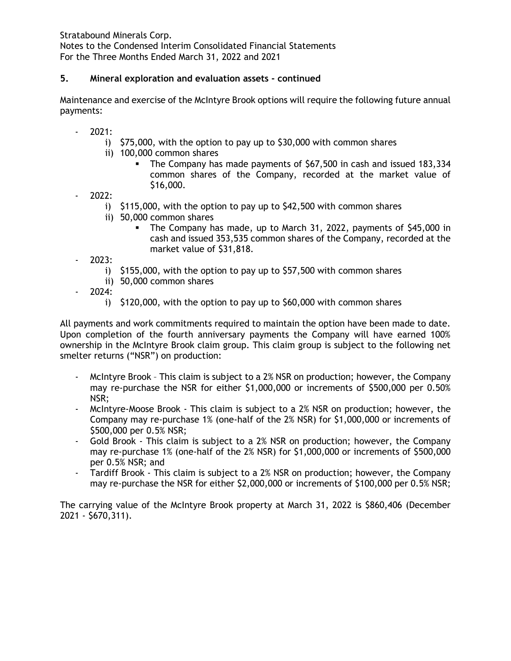# **5. Mineral exploration and evaluation assets - continued**

Maintenance and exercise of the McIntyre Brook options will require the following future annual payments:

- 2021:
	- i) \$75,000, with the option to pay up to \$30,000 with common shares
	- ii) 100,000 common shares
		- The Company has made payments of \$67,500 in cash and issued 183,334 common shares of the Company, recorded at the market value of \$16,000.
- 2022:
	- i) \$115,000, with the option to pay up to \$42,500 with common shares
	- ii) 50,000 common shares
		- The Company has made, up to March 31, 2022, payments of \$45,000 in cash and issued 353,535 common shares of the Company, recorded at the market value of \$31,818.
- 2023:
	- i) \$155,000, with the option to pay up to \$57,500 with common shares
	- ii) 50,000 common shares
- 2024:
	- i) \$120,000, with the option to pay up to \$60,000 with common shares

All payments and work commitments required to maintain the option have been made to date. Upon completion of the fourth anniversary payments the Company will have earned 100% ownership in the McIntyre Brook claim group. This claim group is subject to the following net smelter returns ("NSR") on production:

- McIntyre Brook This claim is subject to a 2% NSR on production; however, the Company may re-purchase the NSR for either \$1,000,000 or increments of \$500,000 per 0.50% NSR;
- McIntyre-Moose Brook This claim is subject to a 2% NSR on production; however, the Company may re-purchase 1% (one-half of the 2% NSR) for \$1,000,000 or increments of \$500,000 per 0.5% NSR;
- Gold Brook This claim is subject to a 2% NSR on production; however, the Company may re-purchase 1% (one-half of the 2% NSR) for \$1,000,000 or increments of \$500,000 per 0.5% NSR; and
- Tardiff Brook This claim is subject to a 2% NSR on production; however, the Company may re-purchase the NSR for either \$2,000,000 or increments of \$100,000 per 0.5% NSR;

The carrying value of the McIntyre Brook property at March 31, 2022 is \$860,406 (December 2021 - \$670,311).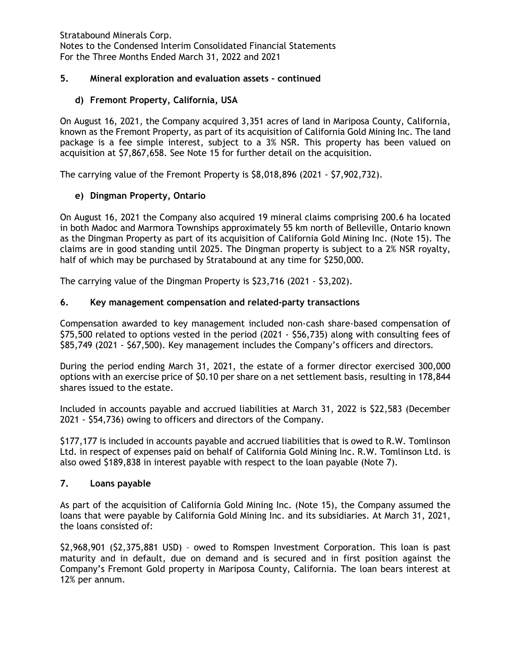# **5. Mineral exploration and evaluation assets - continued**

# **d) Fremont Property, California, USA**

On August 16, 2021, the Company acquired 3,351 acres of land in Mariposa County, California, known as the Fremont Property, as part of its acquisition of California Gold Mining Inc. The land package is a fee simple interest, subject to a 3% NSR. This property has been valued on acquisition at \$7,867,658. See Note 15 for further detail on the acquisition.

The carrying value of the Fremont Property is \$8,018,896 (2021 - \$7,902,732).

# **e) Dingman Property, Ontario**

On August 16, 2021 the Company also acquired 19 mineral claims comprising 200.6 ha located in both Madoc and Marmora Townships approximately 55 km north of Belleville, Ontario known as the Dingman Property as part of its acquisition of California Gold Mining Inc. (Note 15). The claims are in good standing until 2025. The Dingman property is subject to a 2% NSR royalty, half of which may be purchased by Stratabound at any time for \$250,000.

The carrying value of the Dingman Property is \$23,716 (2021 - \$3,202).

### **6. Key management compensation and related-party transactions**

Compensation awarded to key management included non-cash share-based compensation of \$75,500 related to options vested in the period (2021 - \$56,735) along with consulting fees of \$85,749 (2021 - \$67,500). Key management includes the Company's officers and directors.

During the period ending March 31, 2021, the estate of a former director exercised 300,000 options with an exercise price of \$0.10 per share on a net settlement basis, resulting in 178,844 shares issued to the estate.

Included in accounts payable and accrued liabilities at March 31, 2022 is \$22,583 (December 2021 - \$54,736) owing to officers and directors of the Company.

\$177,177 is included in accounts payable and accrued liabilities that is owed to R.W. Tomlinson Ltd. in respect of expenses paid on behalf of California Gold Mining Inc. R.W. Tomlinson Ltd. is also owed \$189,838 in interest payable with respect to the loan payable (Note 7).

# **7. Loans payable**

As part of the acquisition of California Gold Mining Inc. (Note 15), the Company assumed the loans that were payable by California Gold Mining Inc. and its subsidiaries. At March 31, 2021, the loans consisted of:

\$2,968,901 (\$2,375,881 USD) – owed to Romspen Investment Corporation. This loan is past maturity and in default, due on demand and is secured and in first position against the Company's Fremont Gold property in Mariposa County, California. The loan bears interest at 12% per annum.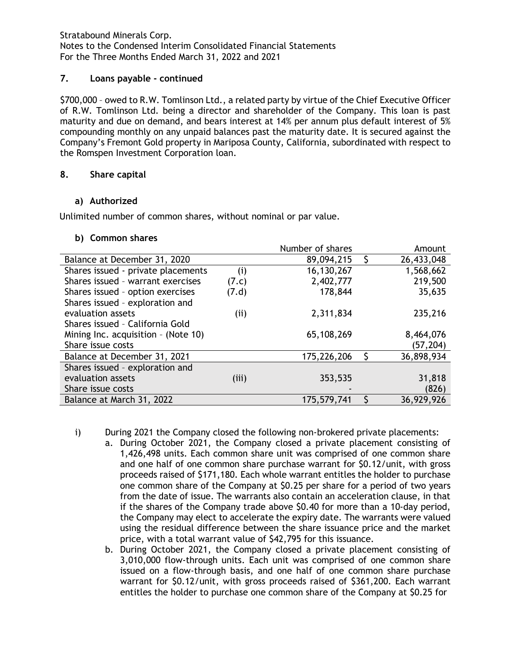# **7. Loans payable - continued**

\$700,000 – owed to R.W. Tomlinson Ltd., a related party by virtue of the Chief Executive Officer of R.W. Tomlinson Ltd. being a director and shareholder of the Company. This loan is past maturity and due on demand, and bears interest at 14% per annum plus default interest of 5% compounding monthly on any unpaid balances past the maturity date. It is secured against the Company's Fremont Gold property in Mariposa County, California, subordinated with respect to the Romspen Investment Corporation loan.

### **8. Share capital**

### **a) Authorized**

Unlimited number of common shares, without nominal or par value.

### **b) Common shares**

|                                       |       | Number of shares |   | Amount     |
|---------------------------------------|-------|------------------|---|------------|
| Balance at December 31, 2020          |       | 89,094,215       | S | 26,433,048 |
| Shares issued - private placements    | (i)   | 16,130,267       |   | 1,568,662  |
| Shares issued - warrant exercises     | (7.c) | 2,402,777        |   | 219,500    |
| Shares issued - option exercises      | (7.d) | 178,844          |   | 35,635     |
| Shares issued - exploration and       |       |                  |   |            |
| evaluation assets                     | (iii) | 2,311,834        |   | 235,216    |
| Shares issued - California Gold       |       |                  |   |            |
| Mining Inc. acquisition $-$ (Note 10) |       | 65,108,269       |   | 8,464,076  |
| Share issue costs                     |       |                  |   | (57, 204)  |
| Balance at December 31, 2021          |       | 175,226,206      | S | 36,898,934 |
| Shares issued - exploration and       |       |                  |   |            |
| evaluation assets                     | (iii) | 353,535          |   | 31,818     |
| Share issue costs                     |       |                  |   | (826)      |
| Balance at March 31, 2022             |       | 175,579,741      |   | 36,929,926 |

- i) During 2021 the Company closed the following non-brokered private placements:
	- a. During October 2021, the Company closed a private placement consisting of 1,426,498 units. Each common share unit was comprised of one common share and one half of one common share purchase warrant for \$0.12/unit, with gross proceeds raised of \$171,180. Each whole warrant entitles the holder to purchase one common share of the Company at \$0.25 per share for a period of two years from the date of issue. The warrants also contain an acceleration clause, in that if the shares of the Company trade above \$0.40 for more than a 10-day period, the Company may elect to accelerate the expiry date. The warrants were valued using the residual difference between the share issuance price and the market price, with a total warrant value of \$42,795 for this issuance.
	- b. During October 2021, the Company closed a private placement consisting of 3,010,000 flow-through units. Each unit was comprised of one common share issued on a flow-through basis, and one half of one common share purchase warrant for \$0.12/unit, with gross proceeds raised of \$361,200. Each warrant entitles the holder to purchase one common share of the Company at \$0.25 for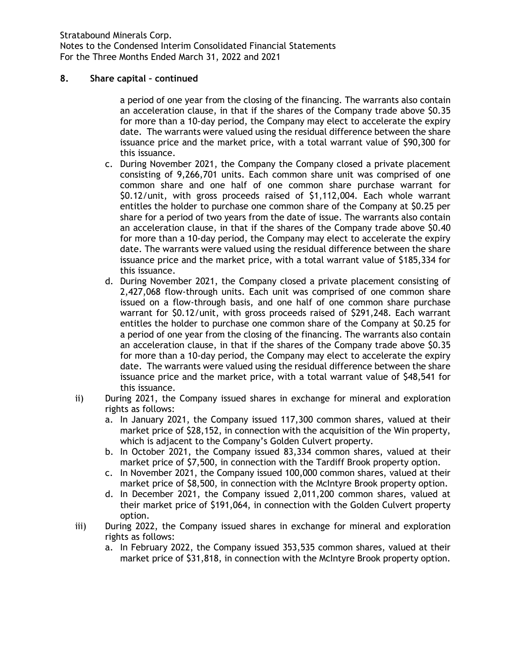## **8. Share capital – continued**

a period of one year from the closing of the financing. The warrants also contain an acceleration clause, in that if the shares of the Company trade above \$0.35 for more than a 10-day period, the Company may elect to accelerate the expiry date. The warrants were valued using the residual difference between the share issuance price and the market price, with a total warrant value of \$90,300 for this issuance.

- c. During November 2021, the Company the Company closed a private placement consisting of 9,266,701 units. Each common share unit was comprised of one common share and one half of one common share purchase warrant for \$0.12/unit, with gross proceeds raised of \$1,112,004. Each whole warrant entitles the holder to purchase one common share of the Company at \$0.25 per share for a period of two years from the date of issue. The warrants also contain an acceleration clause, in that if the shares of the Company trade above \$0.40 for more than a 10-day period, the Company may elect to accelerate the expiry date. The warrants were valued using the residual difference between the share issuance price and the market price, with a total warrant value of \$185,334 for this issuance.
- d. During November 2021, the Company closed a private placement consisting of 2,427,068 flow-through units. Each unit was comprised of one common share issued on a flow-through basis, and one half of one common share purchase warrant for \$0.12/unit, with gross proceeds raised of \$291,248. Each warrant entitles the holder to purchase one common share of the Company at \$0.25 for a period of one year from the closing of the financing. The warrants also contain an acceleration clause, in that if the shares of the Company trade above \$0.35 for more than a 10-day period, the Company may elect to accelerate the expiry date. The warrants were valued using the residual difference between the share issuance price and the market price, with a total warrant value of \$48,541 for this issuance.
- ii) During 2021, the Company issued shares in exchange for mineral and exploration rights as follows:
	- a. In January 2021, the Company issued 117,300 common shares, valued at their market price of \$28,152, in connection with the acquisition of the Win property, which is adjacent to the Company's Golden Culvert property.
	- b. In October 2021, the Company issued 83,334 common shares, valued at their market price of \$7,500, in connection with the Tardiff Brook property option.
	- c. In November 2021, the Company issued 100,000 common shares, valued at their market price of \$8,500, in connection with the McIntyre Brook property option.
	- d. In December 2021, the Company issued 2,011,200 common shares, valued at their market price of \$191,064, in connection with the Golden Culvert property option.
- iii) During 2022, the Company issued shares in exchange for mineral and exploration rights as follows:
	- a. In February 2022, the Company issued 353,535 common shares, valued at their market price of \$31,818, in connection with the McIntyre Brook property option.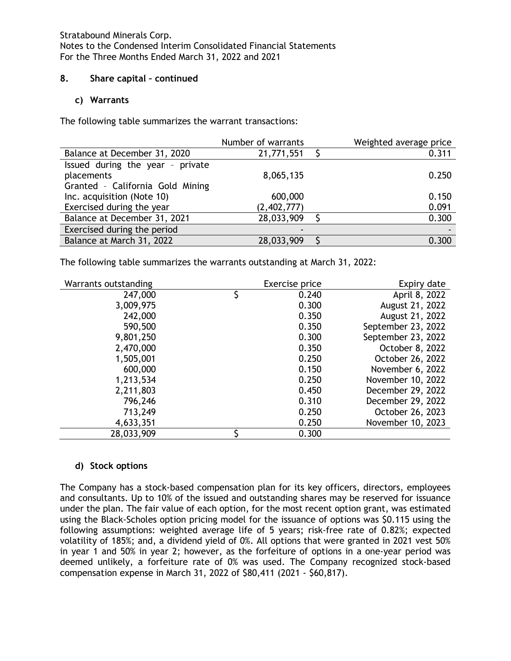### **8. Share capital – continued**

## **c) Warrants**

The following table summarizes the warrant transactions:

|                                  | Number of warrants | Weighted average price |
|----------------------------------|--------------------|------------------------|
| Balance at December 31, 2020     | 21,771,551         | 0.311                  |
| Issued during the year - private |                    |                        |
| placements                       | 8,065,135          | 0.250                  |
| Granted - California Gold Mining |                    |                        |
| Inc. acquisition (Note 10)       | 600,000            | 0.150                  |
| Exercised during the year        | (2,402,777)        | 0.091                  |
| Balance at December 31, 2021     | 28,033,909         | 0.300                  |
| Exercised during the period      | ۰                  |                        |
| Balance at March 31, 2022        | 28,033,909         | 0.300                  |

The following table summarizes the warrants outstanding at March 31, 2022:

| Warrants outstanding | Exercise price | Expiry date        |
|----------------------|----------------|--------------------|
| 247,000              | 0.240          | April 8, 2022      |
| 3,009,975            | 0.300          | August 21, 2022    |
| 242,000              | 0.350          | August 21, 2022    |
| 590,500              | 0.350          | September 23, 2022 |
| 9,801,250            | 0.300          | September 23, 2022 |
| 2,470,000            | 0.350          | October 8, 2022    |
| 1,505,001            | 0.250          | October 26, 2022   |
| 600,000              | 0.150          | November 6, 2022   |
| 1,213,534            | 0.250          | November 10, 2022  |
| 2,211,803            | 0.450          | December 29, 2022  |
| 796,246              | 0.310          | December 29, 2022  |
| 713,249              | 0.250          | October 26, 2023   |
| 4,633,351            | 0.250          | November 10, 2023  |
| 28,033,909           | 0.300          |                    |

# **d) Stock options**

The Company has a stock-based compensation plan for its key officers, directors, employees and consultants. Up to 10% of the issued and outstanding shares may be reserved for issuance under the plan. The fair value of each option, for the most recent option grant, was estimated using the Black-Scholes option pricing model for the issuance of options was \$0.115 using the following assumptions: weighted average life of 5 years; risk-free rate of 0.82%; expected volatility of 185%; and, a dividend yield of 0%. All options that were granted in 2021 vest 50% in year 1 and 50% in year 2; however, as the forfeiture of options in a one-year period was deemed unlikely, a forfeiture rate of 0% was used. The Company recognized stock-based compensation expense in March 31, 2022 of \$80,411 (2021 - \$60,817).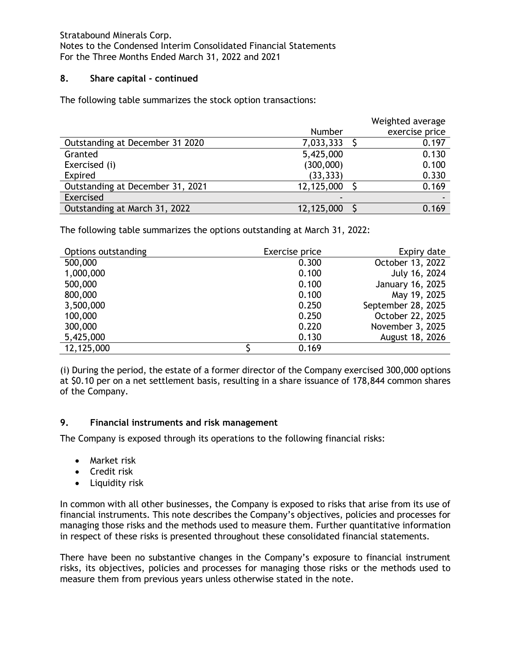## **8. Share capital - continued**

The following table summarizes the stock option transactions:

|                                  |            | Weighted average |
|----------------------------------|------------|------------------|
|                                  | Number     | exercise price   |
| Outstanding at December 31 2020  | 7,033,333  | 0.197            |
| Granted                          | 5,425,000  | 0.130            |
| Exercised (i)                    | (300,000)  | 0.100            |
| Expired                          | (33, 333)  | 0.330            |
| Outstanding at December 31, 2021 | 12,125,000 | 0.169            |
| Exercised                        |            |                  |
| Outstanding at March 31, 2022    | 12,125,000 | 0.169            |

The following table summarizes the options outstanding at March 31, 2022:

| Options outstanding | Exercise price | Expiry date        |
|---------------------|----------------|--------------------|
| 500,000             | 0.300          | October 13, 2022   |
| 1,000,000           | 0.100          | July 16, 2024      |
| 500,000             | 0.100          | January 16, 2025   |
| 800,000             | 0.100          | May 19, 2025       |
| 3,500,000           | 0.250          | September 28, 2025 |
| 100,000             | 0.250          | October 22, 2025   |
| 300,000             | 0.220          | November 3, 2025   |
| 5,425,000           | 0.130          | August 18, 2026    |
| 12,125,000          | 0.169          |                    |

(i) During the period, the estate of a former director of the Company exercised 300,000 options at \$0.10 per on a net settlement basis, resulting in a share issuance of 178,844 common shares of the Company.

# **9. Financial instruments and risk management**

The Company is exposed through its operations to the following financial risks:

- Market risk
- Credit risk
- Liquidity risk

In common with all other businesses, the Company is exposed to risks that arise from its use of financial instruments. This note describes the Company's objectives, policies and processes for managing those risks and the methods used to measure them. Further quantitative information in respect of these risks is presented throughout these consolidated financial statements.

There have been no substantive changes in the Company's exposure to financial instrument risks, its objectives, policies and processes for managing those risks or the methods used to measure them from previous years unless otherwise stated in the note.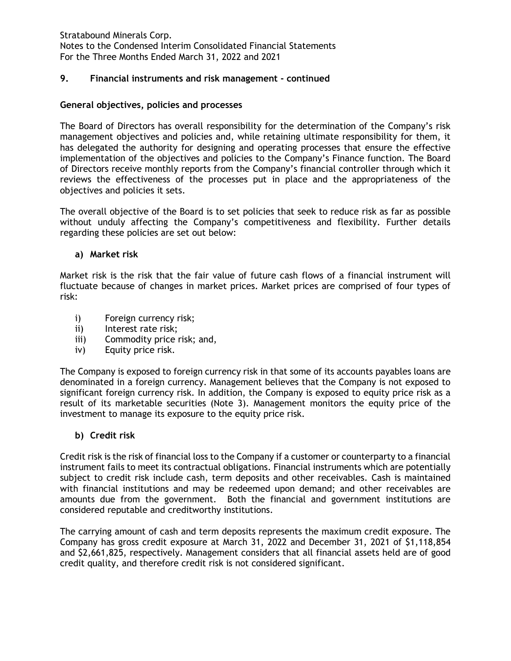# **9. Financial instruments and risk management - continued**

#### **General objectives, policies and processes**

The Board of Directors has overall responsibility for the determination of the Company's risk management objectives and policies and, while retaining ultimate responsibility for them, it has delegated the authority for designing and operating processes that ensure the effective implementation of the objectives and policies to the Company's Finance function. The Board of Directors receive monthly reports from the Company's financial controller through which it reviews the effectiveness of the processes put in place and the appropriateness of the objectives and policies it sets.

The overall objective of the Board is to set policies that seek to reduce risk as far as possible without unduly affecting the Company's competitiveness and flexibility. Further details regarding these policies are set out below:

#### **a) Market risk**

Market risk is the risk that the fair value of future cash flows of a financial instrument will fluctuate because of changes in market prices. Market prices are comprised of four types of risk:

- i) Foreign currency risk;
- ii) Interest rate risk;
- iii) Commodity price risk; and,
- iv) Equity price risk.

The Company is exposed to foreign currency risk in that some of its accounts payables loans are denominated in a foreign currency. Management believes that the Company is not exposed to significant foreign currency risk. In addition, the Company is exposed to equity price risk as a result of its marketable securities (Note 3). Management monitors the equity price of the investment to manage its exposure to the equity price risk.

#### **b) Credit risk**

Credit risk is the risk of financial loss to the Company if a customer or counterparty to a financial instrument fails to meet its contractual obligations. Financial instruments which are potentially subject to credit risk include cash, term deposits and other receivables. Cash is maintained with financial institutions and may be redeemed upon demand; and other receivables are amounts due from the government. Both the financial and government institutions are considered reputable and creditworthy institutions.

The carrying amount of cash and term deposits represents the maximum credit exposure. The Company has gross credit exposure at March 31, 2022 and December 31, 2021 of \$1,118,854 and \$2,661,825, respectively. Management considers that all financial assets held are of good credit quality, and therefore credit risk is not considered significant.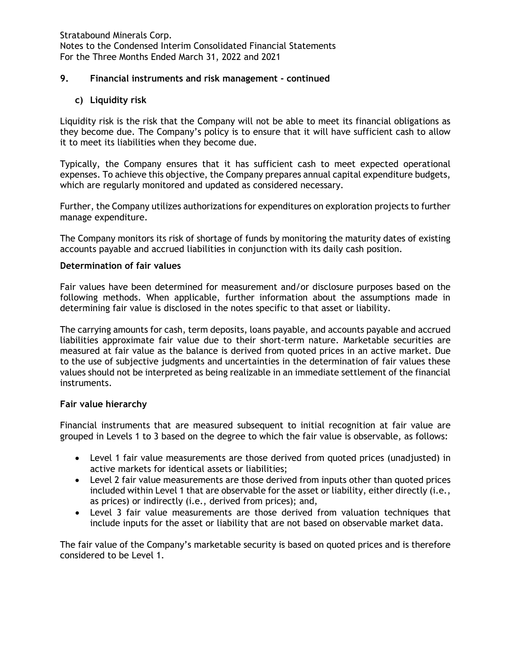## **9. Financial instruments and risk management - continued**

**c) Liquidity risk**

Liquidity risk is the risk that the Company will not be able to meet its financial obligations as they become due. The Company's policy is to ensure that it will have sufficient cash to allow it to meet its liabilities when they become due.

Typically, the Company ensures that it has sufficient cash to meet expected operational expenses. To achieve this objective, the Company prepares annual capital expenditure budgets, which are regularly monitored and updated as considered necessary.

Further, the Company utilizes authorizations for expenditures on exploration projects to further manage expenditure.

The Company monitors its risk of shortage of funds by monitoring the maturity dates of existing accounts payable and accrued liabilities in conjunction with its daily cash position.

#### **Determination of fair values**

Fair values have been determined for measurement and/or disclosure purposes based on the following methods. When applicable, further information about the assumptions made in determining fair value is disclosed in the notes specific to that asset or liability.

The carrying amounts for cash, term deposits, loans payable, and accounts payable and accrued liabilities approximate fair value due to their short-term nature. Marketable securities are measured at fair value as the balance is derived from quoted prices in an active market. Due to the use of subjective judgments and uncertainties in the determination of fair values these values should not be interpreted as being realizable in an immediate settlement of the financial instruments.

#### **Fair value hierarchy**

Financial instruments that are measured subsequent to initial recognition at fair value are grouped in Levels 1 to 3 based on the degree to which the fair value is observable, as follows:

- Level 1 fair value measurements are those derived from quoted prices (unadjusted) in active markets for identical assets or liabilities;
- Level 2 fair value measurements are those derived from inputs other than quoted prices included within Level 1 that are observable for the asset or liability, either directly (i.e., as prices) or indirectly (i.e., derived from prices); and,
- Level 3 fair value measurements are those derived from valuation techniques that include inputs for the asset or liability that are not based on observable market data.

The fair value of the Company's marketable security is based on quoted prices and is therefore considered to be Level 1.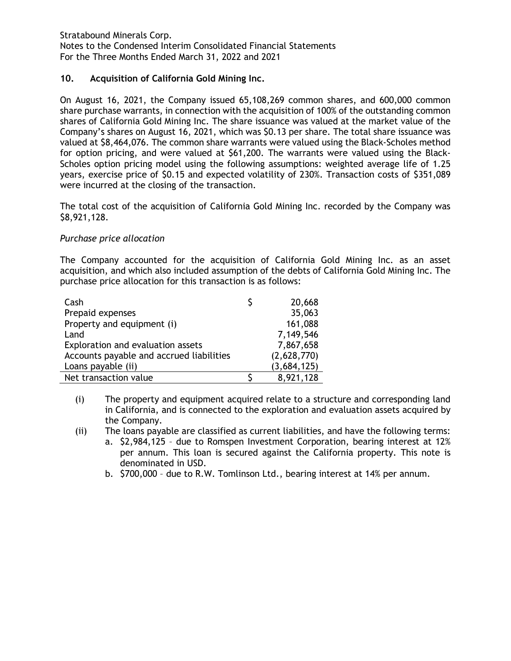# **10. Acquisition of California Gold Mining Inc.**

On August 16, 2021, the Company issued 65,108,269 common shares, and 600,000 common share purchase warrants, in connection with the acquisition of 100% of the outstanding common shares of California Gold Mining Inc. The share issuance was valued at the market value of the Company's shares on August 16, 2021, which was \$0.13 per share. The total share issuance was valued at \$8,464,076. The common share warrants were valued using the Black-Scholes method for option pricing, and were valued at \$61,200. The warrants were valued using the Black-Scholes option pricing model using the following assumptions: weighted average life of 1.25 years, exercise price of \$0.15 and expected volatility of 230%. Transaction costs of \$351,089 were incurred at the closing of the transaction.

The total cost of the acquisition of California Gold Mining Inc. recorded by the Company was \$8,921,128.

### *Purchase price allocation*

The Company accounted for the acquisition of California Gold Mining Inc. as an asset acquisition, and which also included assumption of the debts of California Gold Mining Inc. The purchase price allocation for this transaction is as follows:

| Cash                                     | 20,668      |
|------------------------------------------|-------------|
| Prepaid expenses                         | 35,063      |
| Property and equipment (i)               | 161,088     |
| Land                                     | 7,149,546   |
| Exploration and evaluation assets        | 7,867,658   |
| Accounts payable and accrued liabilities | (2,628,770) |
| Loans payable (ii)                       | (3,684,125) |
| Net transaction value                    | 8,921,128   |

- (i) The property and equipment acquired relate to a structure and corresponding land in California, and is connected to the exploration and evaluation assets acquired by the Company.
- (ii) The loans payable are classified as current liabilities, and have the following terms:
	- a. \$2,984,125 due to Romspen Investment Corporation, bearing interest at 12% per annum. This loan is secured against the California property. This note is denominated in USD.
	- b. \$700,000 due to R.W. Tomlinson Ltd., bearing interest at 14% per annum.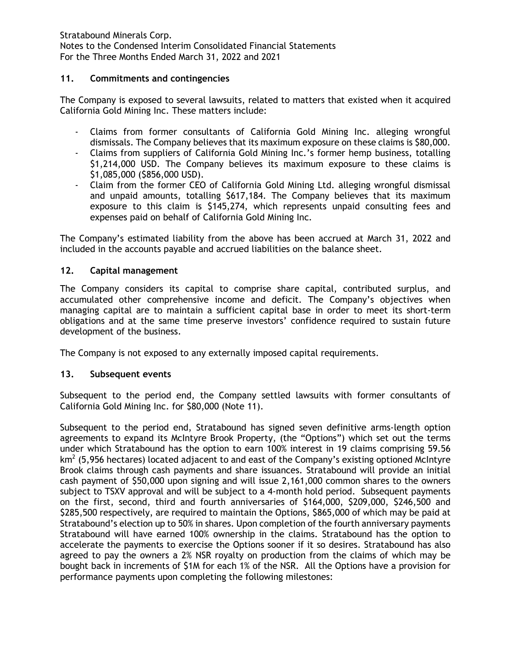# **11. Commitments and contingencies**

The Company is exposed to several lawsuits, related to matters that existed when it acquired California Gold Mining Inc. These matters include:

- Claims from former consultants of California Gold Mining Inc. alleging wrongful dismissals. The Company believes that its maximum exposure on these claims is \$80,000.
- Claims from suppliers of California Gold Mining Inc.'s former hemp business, totalling \$1,214,000 USD. The Company believes its maximum exposure to these claims is \$1,085,000 (\$856,000 USD).
- Claim from the former CEO of California Gold Mining Ltd. alleging wrongful dismissal and unpaid amounts, totalling \$617,184. The Company believes that its maximum exposure to this claim is \$145,274, which represents unpaid consulting fees and expenses paid on behalf of California Gold Mining Inc.

The Company's estimated liability from the above has been accrued at March 31, 2022 and included in the accounts payable and accrued liabilities on the balance sheet.

### **12. Capital management**

The Company considers its capital to comprise share capital, contributed surplus, and accumulated other comprehensive income and deficit. The Company's objectives when managing capital are to maintain a sufficient capital base in order to meet its short-term obligations and at the same time preserve investors' confidence required to sustain future development of the business.

The Company is not exposed to any externally imposed capital requirements.

#### **13. Subsequent events**

Subsequent to the period end, the Company settled lawsuits with former consultants of California Gold Mining Inc. for \$80,000 (Note 11).

Subsequent to the period end, Stratabound has signed seven definitive arms-length option agreements to expand its McIntyre Brook Property, (the "Options") which set out the terms under which Stratabound has the option to earn 100% interest in 19 claims comprising 59.56  $km<sup>2</sup>$  (5,956 hectares) located adjacent to and east of the Company's existing optioned McIntyre Brook claims through cash payments and share issuances. Stratabound will provide an initial cash payment of \$50,000 upon signing and will issue 2,161,000 common shares to the owners subject to TSXV approval and will be subject to a 4-month hold period. Subsequent payments on the first, second, third and fourth anniversaries of \$164,000, \$209,000, \$246,500 and \$285,500 respectively, are required to maintain the Options, \$865,000 of which may be paid at Stratabound's election up to 50% in shares. Upon completion of the fourth anniversary payments Stratabound will have earned 100% ownership in the claims. Stratabound has the option to accelerate the payments to exercise the Options sooner if it so desires. Stratabound has also agreed to pay the owners a 2% NSR royalty on production from the claims of which may be bought back in increments of \$1M for each 1% of the NSR. All the Options have a provision for performance payments upon completing the following milestones: